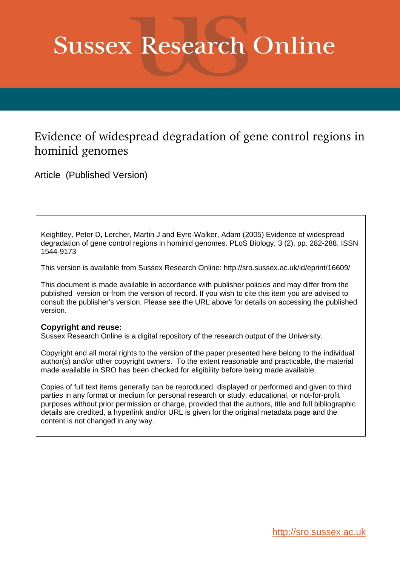# **Sussex Research Online**

### Evidence of widespread degradation of gene control regions in hominid genomes

Article (Published Version)

Keightley, Peter D, Lercher, Martin J and Eyre-Walker, Adam (2005) Evidence of widespread degradation of gene control regions in hominid genomes. PLoS Biology, 3 (2). pp. 282-288. ISSN 1544-9173

This version is available from Sussex Research Online: http://sro.sussex.ac.uk/id/eprint/16609/

This document is made available in accordance with publisher policies and may differ from the published version or from the version of record. If you wish to cite this item you are advised to consult the publisher's version. Please see the URL above for details on accessing the published version.

#### **Copyright and reuse:**

Sussex Research Online is a digital repository of the research output of the University.

Copyright and all moral rights to the version of the paper presented here belong to the individual author(s) and/or other copyright owners. To the extent reasonable and practicable, the material made available in SRO has been checked for eligibility before being made available.

Copies of full text items generally can be reproduced, displayed or performed and given to third parties in any format or medium for personal research or study, educational, or not-for-profit purposes without prior permission or charge, provided that the authors, title and full bibliographic details are credited, a hyperlink and/or URL is given for the original metadata page and the content is not changed in any way.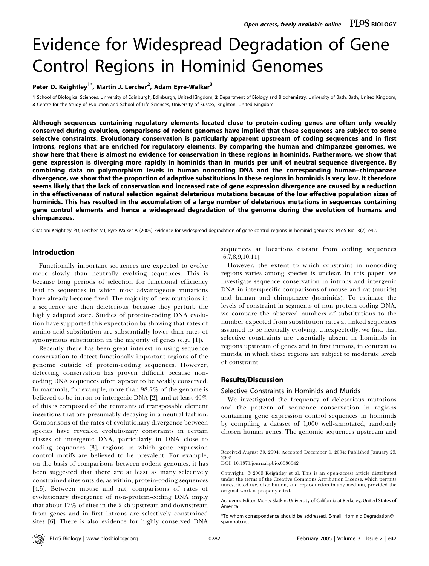## Evidence for Widespread Degradation of Gene Control Regions in Hominid Genomes

Peter D. Keightley<sup>1\*</sup>, Martin J. Lercher<sup>2</sup>, Adam Eyre-Walker<sup>3</sup>

1 School of Biological Sciences, University of Edinburgh, Edinburgh, United Kingdom, 2 Department of Biology and Biochemistry, University of Bath, Bath, United Kingdom, 3 Centre for the Study of Evolution and School of Life Sciences, University of Sussex, Brighton, United Kingdom

Although sequences containing regulatory elements located close to protein-coding genes are often only weakly conserved during evolution, comparisons of rodent genomes have implied that these sequences are subject to some selective constraints. Evolutionary conservation is particularly apparent upstream of coding sequences and in first introns, regions that are enriched for regulatory elements. By comparing the human and chimpanzee genomes, we show here that there is almost no evidence for conservation in these regions in hominids. Furthermore, we show that gene expression is diverging more rapidly in hominids than in murids per unit of neutral sequence divergence. By combining data on polymorphism levels in human noncoding DNA and the corresponding human–chimpanzee divergence, we show that the proportion of adaptive substitutions in these regions in hominids is very low. It therefore seems likely that the lack of conservation and increased rate of gene expression divergence are caused by a reduction in the effectiveness of natural selection against deleterious mutations because of the low effective population sizes of hominids. This has resulted in the accumulation of a large number of deleterious mutations in sequences containing gene control elements and hence a widespread degradation of the genome during the evolution of humans and chimpanzees.

Citation: Keightley PD, Lercher MJ, Eyre-Walker A (2005) Evidence for widespread degradation of gene control regions in hominid genomes. PLoS Biol 3(2): e42.

#### Introduction

Functionally important sequences are expected to evolve more slowly than neutrally evolving sequences. This is because long periods of selection for functional efficiency lead to sequences in which most advantageous mutations have already become fixed. The majority of new mutations in a sequence are then deleterious, because they perturb the highly adapted state. Studies of protein-coding DNA evolution have supported this expectation by showing that rates of amino acid substitution are substantially lower than rates of synonymous substitution in the majority of genes (e.g., [1]).

Recently there has been great interest in using sequence conservation to detect functionally important regions of the genome outside of protein-coding sequences. However, detecting conservation has proven difficult because noncoding DNA sequences often appear to be weakly conserved. In mammals, for example, more than 98.5% of the genome is believed to be intron or intergenic DNA [2], and at least 40% of this is composed of the remnants of transposable element insertions that are presumably decaying in a neutral fashion. Comparisons of the rates of evolutionary divergence between species have revealed evolutionary constraints in certain classes of intergenic DNA, particularly in DNA close to coding sequences [3], regions in which gene expression control motifs are believed to be prevalent. For example, on the basis of comparisons between rodent genomes, it has been suggested that there are at least as many selectively constrained sites outside, as within, protein-coding sequences [4,5]. Between mouse and rat, comparisons of rates of evolutionary divergence of non-protein-coding DNA imply that about 17% of sites in the 2 kb upstream and downstream from genes and in first introns are selectively constrained sites [6]. There is also evidence for highly conserved DNA

sequences at locations distant from coding sequences [6,7,8,9,10,11].

However, the extent to which constraint in noncoding regions varies among species is unclear. In this paper, we investigate sequence conservation in introns and intergenic DNA in interspecific comparisons of mouse and rat (murids) and human and chimpanzee (hominids). To estimate the levels of constraint in segments of non-protein-coding DNA, we compare the observed numbers of substitutions to the number expected from substitution rates at linked sequences assumed to be neutrally evolving. Unexpectedly, we find that selective constraints are essentially absent in hominids in regions upstream of genes and in first introns, in contrast to murids, in which these regions are subject to moderate levels of constraint.

#### Results/Discussion

#### Selective Constraints in Hominids and Murids

We investigated the frequency of deleterious mutations and the pattern of sequence conservation in regions containing gene expression control sequences in hominids by compiling a dataset of 1,000 well-annotated, randomly chosen human genes. The genomic sequences upstream and

Received August 30, 2004; Accepted December 1, 2004; Published January 25, 2005

DOI: 10.1371/journal.pbio.0030042

Copyright:  $©$  2005 Keightley et al. This is an open-access article distributed under the terms of the Creative Commons Attribution License, which permits unrestricted use, distribution, and reproduction in any medium, provided the original work is properly cited.

Academic Editor: Monty Slatkin, University of California at Berkeley, United States of America

\*To whom correspondence should be addressed. E-mail: Hominid.Degradation@ spambob.net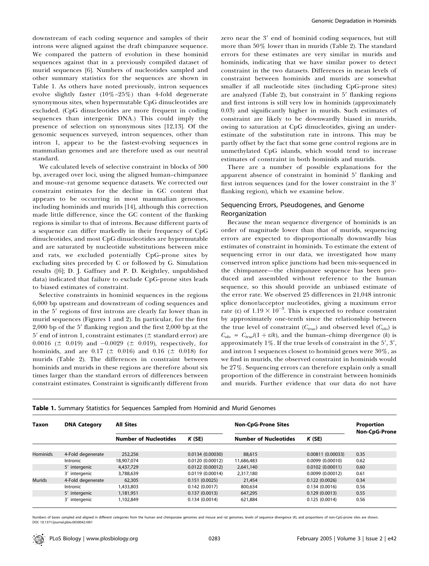downstream of each coding sequence and samples of their introns were aligned against the draft chimpanzee sequence. We compared the pattern of evolution in these hominid sequences against that in a previously compiled dataset of murid sequences [6]. Numbers of nucleotides sampled and other summary statistics for the sequences are shown in Table 1. As others have noted previously, intron sequences evolve slightly faster (10%–25%) than 4-fold degenerate synonymous sites, when hypermutable CpG dinucleotides are excluded. (CpG dinucleotides are more frequent in coding sequences than intergenic DNA.) This could imply the presence of selection on synonymous sites [12,13]. Of the genomic sequences surveyed, intron sequences, other than intron 1, appear to be the fastest-evolving sequences in mammalian genomes and are therefore used as our neutral standard.

We calculated levels of selective constraint in blocks of 500 bp, averaged over loci, using the aligned human–chimpanzee and mouse–rat genome sequence datasets. We corrected our constraint estimates for the decline in GC content that appears to be occurring in most mammalian genomes, including hominids and murids [14], although this correction made little difference, since the GC content of the flanking regions is similar to that of introns. Because different parts of a sequence can differ markedly in their frequency of CpG dinucleotides, and most CpG dinucleotides are hypermutable and are saturated by nucleotide substitutions between mice and rats, we excluded potentially CpG-prone sites by excluding sites preceded by C or followed by G. Simulation results ([6]; D. J. Gaffney and P. D. Keightley, unpublished data) indicated that failure to exclude CpG-prone sites leads to biased estimates of constraint.

Selective constraints in hominid sequences in the regions 6,000 bp upstream and downstream of coding sequences and in the 5' regions of first introns are clearly far lower than in murid sequences (Figures 1 and 2). In particular, for the first  $2,000$  bp of the 5' flanking region and the first  $2,000$  bp at the  $5'$  end of intron 1, constraint estimates ( $\pm$  standard error) are 0.0016 ( $\pm$  0.019) and -0.0029 ( $\pm$  0.019), respectively, for hominids, and are 0.17 ( $\pm$  0.016) and 0.16 ( $\pm$  0.018) for murids (Table 2). The differences in constraint between hominids and murids in these regions are therefore about six times larger than the standard errors of differences between constraint estimates. Constraint is significantly different from zero near the 3' end of hominid coding sequences, but still more than 50% lower than in murids (Table 2). The standard errors for these estimates are very similar in murids and hominids, indicating that we have similar power to detect constraint in the two datasets. Differences in mean levels of constraint between hominids and murids are somewhat smaller if all nucleotide sites (including CpG-prone sites) are analyzed (Table 2), but constraint in  $5'$  flanking regions and first introns is still very low in hominids (approximately 0.03) and significantly higher in murids. Such estimates of constraint are likely to be downwardly biased in murids, owing to saturation at CpG dinucleotides, giving an underestimate of the substitution rate in introns. This may be partly offset by the fact that some gene control regions are in unmethylated CpG islands, which would tend to increase estimates of constraint in both hominids and murids.

There are a number of possible explanations for the apparent absence of constraint in hominid 5' flanking and first intron sequences (and for the lower constraint in the 3' flanking region), which we examine below.

#### Sequencing Errors, Pseudogenes, and Genome Reorganization

Because the mean sequence divergence of hominids is an order of magnitude lower than that of murids, sequencing errors are expected to disproportionally downwardly bias estimates of constraint in hominids. To estimate the extent of sequencing error in our data, we investigated how many conserved intron splice junctions had been mis-sequenced in the chimpanzee—the chimpanzee sequence has been produced and assembled without reference to the human sequence, so this should provide an unbiased estimate of the error rate. We observed 25 differences in 21,048 intronic splice donor/acceptor nucleotides, giving a maximum error rate (ε) of  $1.19 \times 10^{-3}$ . This is expected to reduce constraint by approximately one-tenth since the relationship between the true level of constraint ( $C_{true}$ ) and observed level ( $C_{obs}$ ) is  $C_{obs} = C_{true}/(1 + \varepsilon/k)$ , and the human-chimp divergence (k) is approximately  $1\%$ . If the true levels of constraint in the  $5', 3',$ and intron 1 sequences closest to hominid genes were 30%, as we find in murids, the observed constraint in hominids would be 27%. Sequencing errors can therefore explain only a small proportion of the difference in constraint between hominids and murids. Further evidence that our data do not have

| <b>Taxon</b>    | <b>DNA Category</b> | <b>All Sites</b>             |                 | <b>Non-CpG-Prone Sites</b>   |                   | Proportion<br><b>Non-CpG-Prone</b> |
|-----------------|---------------------|------------------------------|-----------------|------------------------------|-------------------|------------------------------------|
|                 |                     | <b>Number of Nucleotides</b> | K(SE)           | <b>Number of Nucleotides</b> | K(SE)             |                                    |
| <b>Hominids</b> | 4-Fold degenerate   | 252,256                      | 0.0134(0.00030) | 88.615                       | 0.00811 (0.00033) | 0.35                               |
|                 | Intronic            | 18,907,074                   | 0.0120(0.00012) | 11,686,483                   | 0.0099(0.00010)   | 0.62                               |
|                 | 5' intergenic       | 4,437,729                    | 0.0122(0.00012) | 2.641.140                    | 0.0102(0.00011)   | 0.60                               |
|                 | 3' intergenic       | 3,788,639                    | 0.0119(0.00014) | 2,317,180                    | 0.0099(0.00012)   | 0.61                               |
| Murids          | 4-Fold degenerate   | 62,305                       | 0.151(0.0025)   | 21,454                       | 0.122(0.0026)     | 0.34                               |
|                 | Intronic            | 1.433.803                    | 0.142(0.0017)   | 800.634                      | 0.134(0.0016)     | 0.56                               |
|                 | 5' intergenic       | 1,181,951                    | 0.137(0.0013)   | 647,295                      | 0.129(0.0013)     | 0.55                               |
|                 | 3' intergenic       | 1,102,849                    | 0.134(0.0014)   | 621,884                      | 0.125(0.0014)     | 0.56                               |

#### **Table 1.** Summary Statistics for Sequences Sampled from Hominid and Murid Genomes

Numbers of bases sampled and aligned in different categories from the human and chimpanzee genomes and mouse and rat genomes, levels of sequence divergence (K), and proportions of non-CpG-prone sites are shown. DOI: 10.1371/journal.pbio.0030042.t001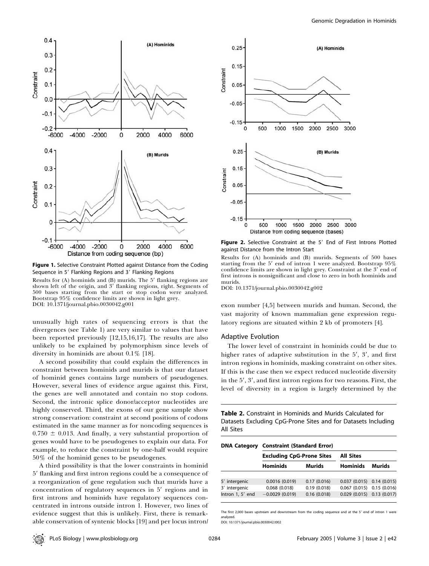

Figure 1. Selective Constraint Plotted against Distance from the Coding Sequence in 5' Flanking Regions and 3' Flanking Regions

Results for  $(A)$  hominids and  $(B)$  murids. The  $5'$  flanking regions are shown left of the origin, and 3' flanking regions, right. Segments of 500 bases starting from the start or stop codon were analyzed. Bootstrap 95% confidence limits are shown in light grey. DOI: 10.1371/journal.pbio.0030042.g001

unusually high rates of sequencing errors is that the divergences (see Table 1) are very similar to values that have been reported previously [12,15,16,17]. The results are also unlikely to be explained by polymorphism since levels of diversity in hominids are about 0.1% [18].

A second possibility that could explain the differences in constraint between hominids and murids is that our dataset of hominid genes contains large numbers of pseudogenes. However, several lines of evidence argue against this. First, the genes are well annotated and contain no stop codons. Second, the intronic splice donor/acceptor nucleotides are highly conserved. Third, the exons of our gene sample show strong conservation: constraint at second positions of codons estimated in the same manner as for noncoding sequences is  $0.750 \pm 0.013$ . And finally, a very substantial proportion of genes would have to be pseudogenes to explain our data. For example, to reduce the constraint by one-half would require 50% of the hominid genes to be pseudogenes.

A third possibility is that the lower constraints in hominid 5' flanking and first intron regions could be a consequence of a reorganization of gene regulation such that murids have a concentration of regulatory sequences in  $5'$  regions and in first introns and hominids have regulatory sequences concentrated in introns outside intron 1. However, two lines of evidence suggest that this is unlikely. First, there is remarkable conservation of syntenic blocks [19] and per locus intron/



Figure 2. Selective Constraint at the 5' End of First Introns Plotted against Distance from the Intron Start

Results for (A) hominids and (B) murids. Segments of 500 bases starting from the  $5'$  end of intron 1 were analyzed. Bootstrap  $95\%$ confidence limits are shown in light grey. Constraint at the  $3'$  end of first introns is nonsignificant and close to zero in both hominids and murids.

DOI: 10.1371/journal.pbio.0030042.g002

exon number [4,5] between murids and human. Second, the vast majority of known mammalian gene expression regulatory regions are situated within 2 kb of promoters [4].

#### Adaptive Evolution

The lower level of constraint in hominids could be due to higher rates of adaptive substitution in the  $5'$ ,  $3'$ , and first intron regions in hominids, masking constraint on other sites. If this is the case then we expect reduced nucleotide diversity in the  $5'$ ,  $3'$ , and first intron regions for two reasons. First, the level of diversity in a region is largely determined by the

Table 2. Constraint in Hominids and Murids Calculated for Datasets Excluding CpG-Prone Sites and for Datasets Including All Sites

| <b>DNA Category</b> | <b>Constraint (Standard Error)</b> |             |                                |        |  |  |
|---------------------|------------------------------------|-------------|--------------------------------|--------|--|--|
|                     | <b>Excluding CpG-Prone Sites</b>   |             | <b>All Sites</b>               |        |  |  |
|                     | <b>Hominids</b>                    | Murids      | <b>Hominids</b>                | Murids |  |  |
|                     |                                    |             |                                |        |  |  |
| 5' intergenic       | 0.0016(0.019)                      | 0.17(0.016) | $0.037(0.015)$ 0.14 (0.015)    |        |  |  |
| 3' intergenic       | 0.068(0.018)                       | 0.19(0.018) | $0.067$ (0.015) $0.15$ (0.016) |        |  |  |
| Intron 1, 5' end    | $-0.0029(0.019)$                   | 0.16(0.018) | $0.029(0.015)$ 0.13 (0.017)    |        |  |  |
|                     |                                    |             |                                |        |  |  |

The first 2,000 bases upstream and downstream from the coding sequence and at the 5' end of intron 1 were analyzed. DOI: 10.1371/journal.pbio.0030042.t002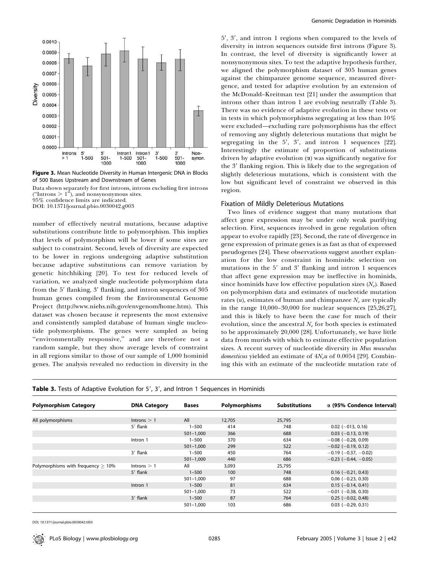

Figure 3. Mean Nucleotide Diversity in Human Intergenic DNA in Blocks of 500 Bases Upstream and Downstream of Genes

Data shown separately for first introns, introns excluding first introns ("Introns  $> 1$ "), and nonsynonymous sites.

95% confidence limits are indicated.

DOI: 10.1371/journal.pbio.0030042.g003

number of effectively neutral mutations, because adaptive substitutions contribute little to polymorphism. This implies that levels of polymorphism will be lower if some sites are subject to constraint. Second, levels of diversity are expected to be lower in regions undergoing adaptive substitution because adaptive substitutions can remove variation by genetic hitchhiking [20]. To test for reduced levels of variation, we analyzed single nucleotide polymorphism data from the 5' flanking, 3' flanking, and intron sequences of 305 human genes compiled from the Environmental Genome Project (http://www.niehs.nih.gov/envgenom/home.htm). This dataset was chosen because it represents the most extensive and consistently sampled database of human single nucleotide polymorphisms. The genes were sampled as being ''environmentally responsive,'' and are therefore not a random sample, but they show average levels of constraint in all regions similar to those of our sample of 1,000 hominid genes. The analysis revealed no reduction in diversity in the

5', 3', and intron 1 regions when compared to the levels of diversity in intron sequences outside first introns (Figure 3). In contrast, the level of diversity is significantly lower at nonsynonymous sites. To test the adaptive hypothesis further, we aligned the polymorphism dataset of 305 human genes against the chimpanzee genome sequence, measured divergence, and tested for adaptive evolution by an extension of the McDonald–Kreitman test [21] under the assumption that introns other than intron 1 are evolving neutrally (Table 3). There was no evidence of adaptive evolution in these tests or in tests in which polymorphisms segregating at less than 10% were excluded—excluding rare polymorphisms has the effect of removing any slightly deleterious mutations that might be segregating in the  $5'$ ,  $3'$ , and intron 1 sequences [22]. Interestingly the estimate of proportion of substitutions driven by adaptive evolution  $(\alpha)$  was significantly negative for the 3' flanking region. This is likely due to the segregation of slightly deleterious mutations, which is consistent with the low but significant level of constraint we observed in this region.

#### Fixation of Mildly Deleterious Mutations

Two lines of evidence suggest that many mutations that affect gene expression may be under only weak purifying selection. First, sequences involved in gene regulation often appear to evolve rapidly [23]. Second, the rate of divergence in gene expression of primate genes is as fast as that of expressed pseudogenes [24]. These observations suggest another explanation for the low constraint in hominids: selection on mutations in the  $5'$  and  $3'$  flanking and intron 1 sequences that affect gene expression may be ineffective in hominids, since hominids have low effective population sizes  $(N_e)$ . Based on polymorphism data and estimates of nucleotide mutation rates  $(u)$ , estimates of human and chimpanzee  $N_e$  are typically in the range 10,000–30,000 for nuclear sequences [25,26,27], and this is likely to have been the case for much of their evolution, since the ancestral  $N_e$  for both species is estimated to be approximately 20,000 [28]. Unfortunately, we have little data from murids with which to estimate effective population sizes. A recent survey of nucleotide diversity in Mus musculus domesticus yielded an estimate of  $4N_e u$  of 0.0054 [29]. Combining this with an estimate of the nucleotide mutation rate of

| <b>Table 3.</b> Tests of Adaptive Evolution for 5', 3', and Intron 1 Sequences in Hominids |  |  |  |
|--------------------------------------------------------------------------------------------|--|--|--|
|--------------------------------------------------------------------------------------------|--|--|--|

| <b>Polymorphism Category</b>          | <b>DNA Category</b> | <b>Bases</b>  | <b>Polymorphisms</b> | <b>Substitutions</b> | $\alpha$ (95% Condence Interval) |
|---------------------------------------|---------------------|---------------|----------------------|----------------------|----------------------------------|
|                                       |                     |               |                      |                      |                                  |
| All polymorphisms                     | Introns $> 1$       | All           | 12,705               | 25,795               |                                  |
|                                       | 5' flank            | $1 - 500$     | 414                  | 748                  | $0.02$ (-013, 0.16)              |
|                                       |                     | $501 - 1,000$ | 366                  | 688                  | $0.03$ (-0.13, 0.19)             |
|                                       | Intron 1            | $1 - 500$     | 370                  | 634                  | $-0.08$ ( $-0.28$ , 0.09)        |
|                                       |                     | $501 - 1,000$ | 299                  | 522                  | $-0.02$ (-0.19, 0.12)            |
|                                       | 3' flank            | $1 - 500$     | 450                  | 764                  | $-0.19$ ( $-0.37$ , $-0.02$ )    |
|                                       |                     | $501 - 1,000$ | 440                  | 686                  | $-0.23$ ( $-0.44$ , $-0.05$ )    |
| Polymorphisms with frequency $> 10\%$ | Introns $> 1$       | All           | 3,093                | 25,795               |                                  |
|                                       | 5' flank            | $1 - 500$     | 100                  | 748                  | $0.16$ (-0.21, 0.43)             |
|                                       |                     | $501 - 1.000$ | 97                   | 688                  | $0.06$ (-0.23, 0.30)             |
|                                       | Intron 1            | $1 - 500$     | 81                   | 634                  | $0.15 (-0.14, 0.41)$             |
|                                       |                     | $501 - 1,000$ | 73                   | 522                  | $-0.01$ ( $-0.38$ , 0.30)        |
|                                       | 3' flank            | $1 - 500$     | 87                   | 764                  | $0.25$ (-0.02, 0.48)             |
|                                       |                     | $501 - 1.000$ | 103                  | 686                  | $0.03$ (-0.29, 0.31)             |

DOI: 10.1371/journal.pbio.0030042.t003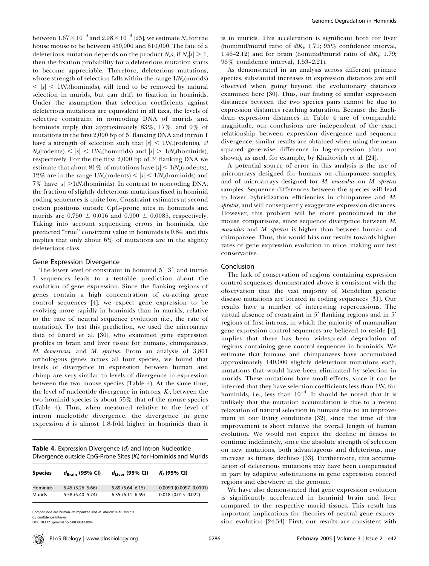between  $1.67\times10^{-9}$  and  $2.98\times10^{-9}$  [25], we estimate  $N_e$  for the house mouse to be between 450,000 and 810,000. The fate of a deleterious mutation depends on the product  $N_e s$ ; if  $N_e |s| > 1$ , then the fixation probability for a deleterious mutation starts to become appreciable. Therefore, deleterious mutations, whose strength of selection falls within the range  $1/N_e$ (murids)  $\langle s|s|< 1/N_e$ (hominids), will tend to be removed by natural selection in murids, but can drift to fixation in hominids. Under the assumption that selection coefficients against deleterious mutations are equivalent in all taxa, the levels of selective constraint in noncoding DNA of murids and hominids imply that approximately 83%, 17%, and 0% of mutations in the first  $2,000$  bp of  $5'$  flanking DNA and intron  $1$ have a strength of selection such that  $|s| \leq 1/N_e$ (rodents), 1/  $N_e$ (rodents) <  $|s|$  < 1/N<sub>e</sub>(hominids) and  $|s|$  > 1/N<sub>e</sub>(hominids), respectively. For the the first 2,000 bp of 3' flanking DNA we estimate that about 81% of mutations have  $|s| < 1/N_e$ (rodents), 12% are in the range  $1/N_e$ (rodents)  $\lt |s| \lt 1/N_e$ (hominids) and 7% have  $|s| > 1/N_e$ (hominids). In contrast to noncoding DNA, the fraction of slightly deleterious mutations fixed in hominid coding sequences is quite low. Constraint estimates at second codon positions outside CpG-prone sites in hominids and murids are  $0.750 \pm 0.016$  and  $0.900 \pm 0.0085$ , respectively. Taking into account sequencing errors in hominids, the predicted ''true'' constraint value in hominids is 0.84, and this implies that only about 6% of mutations are in the slightly deleterious class.

#### Gene Expression Divergence

The lower level of constraint in hominid  $5'$ ,  $3'$ , and intron 1 sequences leads to a testable prediction about the evolution of gene expression. Since the flanking regions of genes contain a high concentration of cis-acting gene control sequences [4], we expect gene expression to be evolving more rapidly in hominids than in murids, relative to the rate of neutral sequence evolution (i.e., the rate of mutation). To test this prediction, we used the microarray data of Enard et al. [30], who examined gene expression profiles in brain and liver tissue for humans, chimpanzees, M. domesticus, and M. spretus. From an analysis of 3,801 orthologous genes across all four species, we found that levels of divergence in expression between human and chimp are very similar to levels of divergence in expression between the two mouse species (Table 4). At the same time, the level of nucleotide divergence in introns,  $K_i$ , between the two hominid species is about 55% that of the mouse species (Table 4). Thus, when measured relative to the level of intron nucleotide divergence, the divergence in gene expression  $d$  is almost 1.8-fold higher in hominids than it

| <b>Table 4.</b> Expression Divergence (d) and Intron Nucleotide    |
|--------------------------------------------------------------------|
| Divergence outside CpG-Prone Sites $(K_i)$ for Hominids and Murids |

| <b>Species</b>  | $d_{\text{Brain}}$ (95% CI) | $d_{\text{Liver}}$ (95% CI) | $K_i$ (95% CI)               |
|-----------------|-----------------------------|-----------------------------|------------------------------|
| <b>Hominids</b> | $5.45(5.26 - 5.66)$         | $5.89(5.64 - 6.15)$         | $0.0099$ $(0.0097 - 0.0101)$ |
| Murids          | 5.58 (5.40-5.74)            | $6.35(6.11 - 6.59)$         | $0.018$ (0.015-0.022)        |

Comparisons are human–chimpanzee and M. musculus–M. spretus. CI, confidence interval.

DOI: 10.1371/journal.pbio.0030042.t004

is in murids. This acceleration is significant both for liver (hominid/murid ratio of  $d/K_i$ , 1.71; 95% confidence interval, 1.46–2.12) and for brain (hominid/murid ratio of  $d/K<sub>i</sub>$ , 1.79; 95% confidence interval, 1.53–2.21).

As demonstrated in an analysis across different primate species, substantial increases in expression distances are still observed when going beyond the evolutionary distances examined here [30]. Thus, our finding of similar expression distances between the two species pairs cannot be due to expression distances reaching saturation. Because the Euclidean expression distances in Table 4 are of comparable magnitude, our conclusions are independent of the exact relationship between expression divergence and sequence divergence; similar results are obtained when using the mean squared gene-wise difference in log-expression (data not shown), as used, for example, by Khaitovich et al. [24].

A potential source of error in this analysis is the use of microarrays designed for humans on chimpanzee samples, and of microarrays designed for M. musculus on M. spretus samples. Sequence differences between the species will lead to lower hybridization efficiencies in chimpanzee and M. spretus, and will consequently exaggerate expression distances. However, this problem will be more pronounced in the mouse comparisons, since sequence divergence between M. musculus and M. spretus is higher than between human and chimpanzee. Thus, this would bias our results towards higher rates of gene expression evolution in mice, making our test conservative.

#### Conclusion

The lack of conservation of regions containing expression control sequences demonstrated above is consistent with the observation that the vast majority of Mendelian genetic disease mutations are located in coding sequences [31]. Our results have a number of interesting repercussions. The virtual absence of constraint in  $5'$  flanking regions and in  $5'$ regions of first introns, in which the majority of mammalian gene expression control sequences are believed to reside [4], implies that there has been widespread degradation of regions containing gene control sequences in hominids. We estimate that humans and chimpanzees have accumulated approximately 140,000 slightly deleterious mutations each, mutations that would have been eliminated by selection in murids. These mutations have small effects, since it can be inferred that they have selection coefficients less than  $1/N_e$  for hominids, i.e., less than  $10^{-4}$ . It should be noted that it is unlikely that the mutation accumulation is due to a recent relaxation of natural selection in humans due to an improvement in our living conditions [32], since the time of this improvement is short relative the overall length of human evolution. We would not expect the decline in fitness to continue indefinitely, since the absolute strength of selection on new mutations, both advantageous and deleterious, may increase as fitness declines [33]. Furthermore, this accumulation of deleterious mutations may have been compensated in part by adaptive substitutions in gene expression control regions and elsewhere in the genome.

We have also demonstrated that gene expression evolution is significantly accelerated in hominid brain and liver compared to the respective murid tissues. This result has important implications for theories of neutral gene expression evolution [24,34]. First, our results are consistent with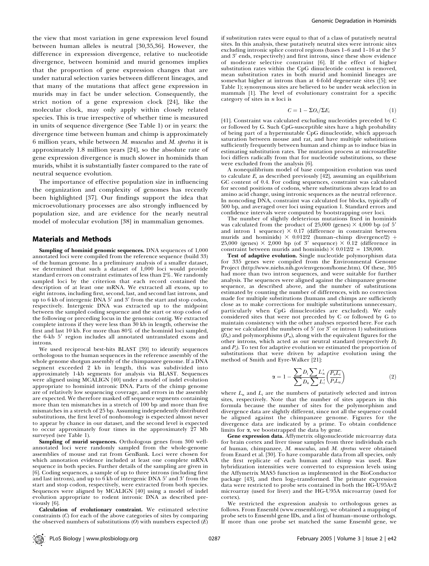the view that most variation in gene expression level found between human alleles is neutral [30,35,36]. However, the difference in expression divergence, relative to nucleotide divergence, between hominid and murid genomes implies that the proportion of gene expression changes that are under natural selection varies between different lineages, and that many of the mutations that affect gene expression in murids may in fact be under selection. Consequently, the strict notion of a gene expression clock [24], like the molecular clock, may only apply within closely related species. This is true irrespective of whether time is measured in units of sequence divergence (See Table 1) or in years: the divergence time between human and chimp is approximately 6 million years, while between M. musculus and M. spretus it is approximately 1.8 million years [24], so the absolute rate of gene expression divergence is much slower in hominids than murids, whilst it is substantially faster compared to the rate of neutral sequence evolution.

The importance of effective population size in influencing the organization and complexity of genomes has recently been highlighted [37]. Our findings support the idea that microevolutionary processes are also strongly influenced by population size, and are evidence for the nearly neutral model of molecular evolution [38] in mammalian genomes.

#### Materials and Methods

Sampling of hominid genomic sequences. DNA sequences of 1,000 annotated loci were compiled from the reference sequence (build 33) of the human genome. In a preliminary analysis of a smaller dataset, we determined that such a dataset of 1,000 loci would provide standard errors on constraint estimates of less than 2%. We randomly sampled loci by the criterion that each record contained the description of at least one mRNA. We extracted all exons, up to eight introns, including first, second, last, and second last introns, and up to  $6$  kb of intergenic DNA  $5'$  and  $3'$  from the start and stop codon, respectively. Intergenic DNA was extracted up to the midpoint between the sampled coding sequence and the start or stop codon of the following or preceding locus in the genomic contig. We extracted complete introns if they were less than 30 kb in length, otherwise the first and last 10 kb. For more than 80% of the hominid loci sampled, the 6-kb 5' region includes all annotated untranslated exons and introns.

We used reciprocal best-hits BLAST [39] to identify sequences orthologous to the human sequences in the reference assembly of the whole genome shotgun assembly of the chimpanzee genome. If a DNA segment exceeded 2 kb in length, this was subdivided into approximately 1-kb segments for analysis via BLAST. Sequences were aligned using MCALIGN [40] under a model of indel evolution appropriate to hominid intronic DNA. Parts of the chimp genome are of relatively low sequencing coverage, and errors in the assembly are expected. We therefore masked off sequence segments containing more than ten mismatches in a stretch of 100 bp and more than five mismatches in a stretch of 25 bp. Assuming independently distributed substitutions, the first level of nonhomology is expected almost never to appear by chance in our dataset, and the second level is expected to occur approximately four times in the approximately 27 Mb surveyed (see Table 1).

Sampling of murid sequences. Orthologous genes from 300 wellannotated loci were randomly sampled from the whole-genome assemblies of mouse and rat from GenBank. Loci were chosen for which annotation evidence included at least one complete mRNA sequence in both species. Further details of the sampling are given in [6]. Coding sequences, a sample of up to three introns (including first and last introns), and up to  $6$  kb of intergenic DNA  $5'$  and  $3'$  from the start and stop codon, respectively, were extracted from both species. Sequences were aligned by MCALIGN [40] using a model of indel evolution appropriate to rodent intronic DNA as described previously [6].

Calculation of evolutionary constraint. We estimated selective constraints (C) for each of the above categories of sites by comparing the observed numbers of substitutions  $(O)$  with numbers expected  $(E)$ 

if substitution rates were equal to that of a class of putatively neutral sites. In this analysis, these putatively neutral sites were intronic sites excluding intronic splice control regions (bases 1-6 and 1-16 at the 5' and 3' ends, respectively) and first introns, since these show evidence of moderate selective constraint [6]. If the effect of higher substitution rates within the CpG dinucleotide context is removed, mean substitution rates in both murid and hominid lineages are somewhat higher at introns than at 4-fold degenerate sites ([5]; see Table 1); synonymous sites are believed to be under weak selection in mammals [1]. The level of evolutionary constraint for a specific category of sites in  $n$  loci is

$$
C = 1 - \Sigma O_i / \Sigma E_i \tag{1}
$$

[41]. Constraint was calculated excluding nucleotides preceded by C or followed by G. Such CpG-susceptible sites have a high probability of being part of a hypermutable CpG dinucleotide, which approach saturation between mouse and rat, and have multiple substitutions sufficiently frequently between human and chimp as to induce bias in estimating substitution rates. The mutation process at microsatellite loci differs radically from that for nucleotide substitutions, so these were excluded from the analysis [6].

A nonequilibrium model of base composition evolution was used to calculate  $E$ , as described previously  $[42]$ , assuming an equilibrium GC content of 0.4. For coding sequences, constraint was calculated for second positions of codons, where substitutions always lead to an amino acid change, using intronic sequences as the neutral reference. In noncoding DNA, constraint was calculated for blocks, typically of 500 bp, and averaged over loci using equation 1. Standard errors and confidence intervals were computed by bootstrapping over loci.

The number of slightly deleterious mutations fixed in hominids was calculated from the product of  $25,000$  (genes)  $\times$  4,000 bp (of 5' and intron 1 sequence)  $\times$  0.17 (difference in constraint between murids and hominids)  $\times$  0.012/2 (human-chimp divergence/2) + 25,000 (genes)  $\times$  2,000 bp (of 3' sequence)  $\times$  0.12 (difference in constraint between murids and hominids)  $\times$  0.012/2 = 138,000.

Test of adaptive evolution. Single nucleotide polymorphism data for 335 genes were compiled from the Environmental Genome Project (http://www.niehs.nih.gov/envgenom/home.htm). Of these, 305 had more than two intron sequences, and were suitable for further analysis. The sequences were aligned against the chimpanzee genome sequence, as described above, and the number of substitutions estimated by counting the number of differences, with no correction made for multiple substitutions (humans and chimps are sufficiently close as to make corrections for multiple substitutions unnecessary, particularly when CpG dinucleotides are excluded). We only considered sites that were not preceded by C or followed by G to maintain consistency with the other analyses reported here. For each gene we calculated the numbers of  $5'$  (or  $3'$  or intron 1) substitutions  $(D_n)$  and polymorphisms  $(P_n)$ , along with the equivalent figures for the other introns, which acted as our neutral standard (respectively  $D_i$ and  $P_i$ ). To test for adaptive evolution we estimated the proportion of substitutions that were driven by adaptive evolution using the method of Smith and Eyre-Walker [21]:

$$
\alpha = 1 - \frac{\sum D_i \sum L'_n}{\sum D_n \sum L'_i} \left(\frac{P_n L_i}{P_i L_n}\right) \tag{2}
$$

where  $L_n$  and  $L_i$  are the numbers of putatively selected and intron sites, respectively. Note that the number of sites appears in this formula because the number of sites for the polymorphism and divergence data are slightly different, since not all the sequence could be aligned against the chimpanzee genome. Figures for the divergence data are indicated by a prime. To obtain confidence limits for  $\alpha$ , we bootstrapped the data by gene.

Gene expression data. Affymetrix oligonucleotide microarray data for brain cortex and liver tissue samples from three individuals each of human, chimpanzee, M. musculus, and M. spretus were obtained from Enard et al. [30]. To have comparable data from all species, only the first replicate of each human and chimp was used. Raw hybridization intensities were converted to expression levels using the Affymetrix MAS5 function as implemented in the BioConductor package  $[43]$ , and then  $log_2$ -transformed. The primate expression data were restricted to probe sets contained in both the HG-U95Av2 microarray (used for liver) and the HG-U95A microarray (used for cortex).

We restricted the expression analysis to orthologous genes as follows. From Ensembl (www.ensembl.org), we obtained a mapping of probe sets to Ensembl gene IDs, and a list of human–mouse orthologs. If more than one probe set matched the same Ensembl gene, we